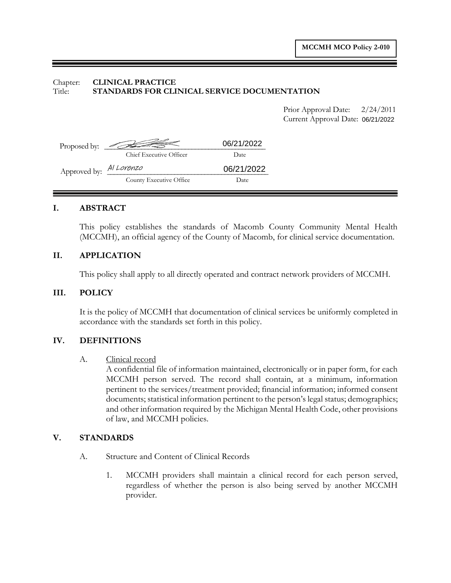## Chapter: **CLINICAL PRACTICE** Title: **STANDARDS FOR CLINICAL SERVICE DOCUMENTATION**

Prior Approval Date:  $2/24/2011$ Current Approval Date:

|                         |                            |            | Current Approval Date: 06/21/2022 |
|-------------------------|----------------------------|------------|-----------------------------------|
|                         | Proposed by: $\sqrt{2\pi}$ | 06/21/2022 |                                   |
|                         | Chief Executive Officer    | Date       |                                   |
| Approved by: Al Lorenzo |                            | 06/21/2022 |                                   |
|                         | County Executive Office    | Date       |                                   |
|                         |                            |            |                                   |

## **I. ABSTRACT**

This policy establishes the standards of Macomb County Community Mental Health (MCCMH), an official agency of the County of Macomb, for clinical service documentation.

# **II. APPLICATION**

This policy shall apply to all directly operated and contract network providers of MCCMH.

## **III. POLICY**

It is the policy of MCCMH that documentation of clinical services be uniformly completed in accordance with the standards set forth in this policy.

## **IV. DEFINITIONS**

#### A. Clinical record

A confidential file of information maintained, electronically or in paper form, for each MCCMH person served. The record shall contain, at a minimum, information pertinent to the services/treatment provided; financial information; informed consent documents; statistical information pertinent to the person's legal status; demographics; and other information required by the Michigan Mental Health Code, other provisions of law, and MCCMH policies.

## **V. STANDARDS**

- A. Structure and Content of Clinical Records
	- 1. MCCMH providers shall maintain a clinical record for each person served, regardless of whether the person is also being served by another MCCMH provider.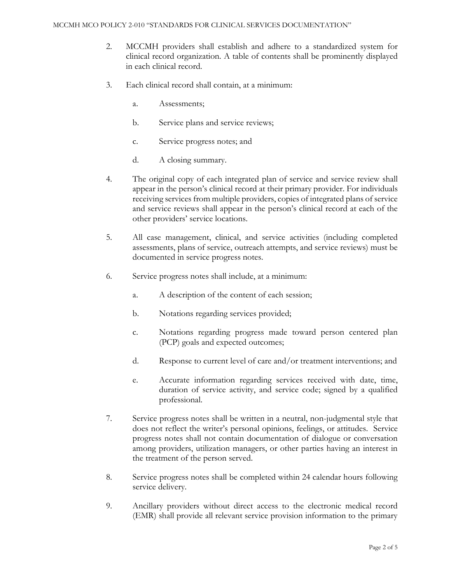- 2. MCCMH providers shall establish and adhere to a standardized system for clinical record organization. A table of contents shall be prominently displayed in each clinical record.
- 3. Each clinical record shall contain, at a minimum:
	- a. Assessments;
	- b. Service plans and service reviews;
	- c. Service progress notes; and
	- d. A closing summary.
- 4. The original copy of each integrated plan of service and service review shall appear in the person's clinical record at their primary provider. For individuals receiving services from multiple providers, copies of integrated plans of service and service reviews shall appear in the person's clinical record at each of the other providers' service locations.
- 5. All case management, clinical, and service activities (including completed assessments, plans of service, outreach attempts, and service reviews) must be documented in service progress notes.
- 6. Service progress notes shall include, at a minimum:
	- a. A description of the content of each session;
	- b. Notations regarding services provided;
	- c. Notations regarding progress made toward person centered plan (PCP) goals and expected outcomes;
	- d. Response to current level of care and/or treatment interventions; and
	- e. Accurate information regarding services received with date, time, duration of service activity, and service code; signed by a qualified professional.
- 7. Service progress notes shall be written in a neutral, non-judgmental style that does not reflect the writer's personal opinions, feelings, or attitudes. Service progress notes shall not contain documentation of dialogue or conversation among providers, utilization managers, or other parties having an interest in the treatment of the person served.
- 8. Service progress notes shall be completed within 24 calendar hours following service delivery.
- 9. Ancillary providers without direct access to the electronic medical record (EMR) shall provide all relevant service provision information to the primary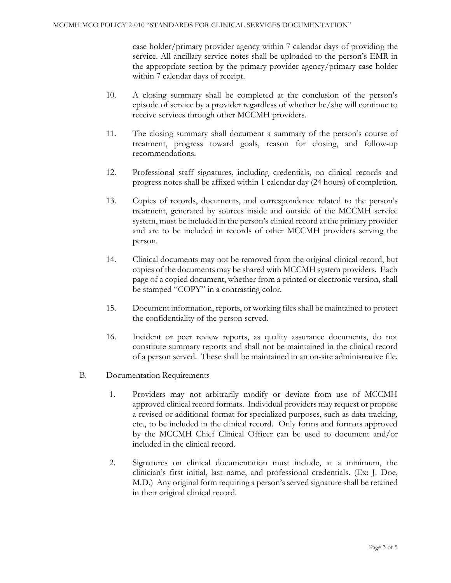case holder/primary provider agency within 7 calendar days of providing the service. All ancillary service notes shall be uploaded to the person's EMR in the appropriate section by the primary provider agency/primary case holder within 7 calendar days of receipt.

- 10. A closing summary shall be completed at the conclusion of the person's episode of service by a provider regardless of whether he/she will continue to receive services through other MCCMH providers.
- 11. The closing summary shall document a summary of the person's course of treatment, progress toward goals, reason for closing, and follow-up recommendations.
- 12. Professional staff signatures, including credentials, on clinical records and progress notes shall be affixed within 1 calendar day (24 hours) of completion.
- 13. Copies of records, documents, and correspondence related to the person's treatment, generated by sources inside and outside of the MCCMH service system, must be included in the person's clinical record at the primary provider and are to be included in records of other MCCMH providers serving the person.
- 14. Clinical documents may not be removed from the original clinical record, but copies of the documents may be shared with MCCMH system providers. Each page of a copied document, whether from a printed or electronic version, shall be stamped "COPY" in a contrasting color.
- 15. Document information, reports, or working files shall be maintained to protect the confidentiality of the person served.
- 16. Incident or peer review reports, as quality assurance documents, do not constitute summary reports and shall not be maintained in the clinical record of a person served. These shall be maintained in an on-site administrative file.
- B. Documentation Requirements
	- 1. Providers may not arbitrarily modify or deviate from use of MCCMH approved clinical record formats. Individual providers may request or propose a revised or additional format for specialized purposes, such as data tracking, etc., to be included in the clinical record. Only forms and formats approved by the MCCMH Chief Clinical Officer can be used to document and/or included in the clinical record.
	- 2. Signatures on clinical documentation must include, at a minimum, the clinician's first initial, last name, and professional credentials. (Ex: J. Doe, M.D.) Any original form requiring a person's served signature shall be retained in their original clinical record.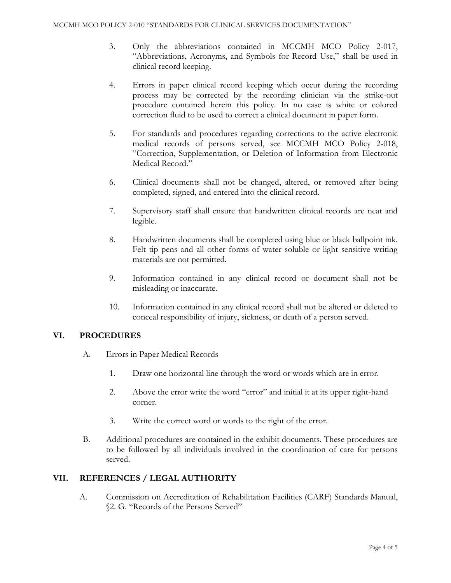- 3. Only the abbreviations contained in MCCMH MCO Policy 2-017, "Abbreviations, Acronyms, and Symbols for Record Use," shall be used in clinical record keeping.
- 4. Errors in paper clinical record keeping which occur during the recording process may be corrected by the recording clinician via the strike-out procedure contained herein this policy. In no case is white or colored correction fluid to be used to correct a clinical document in paper form.
- 5. For standards and procedures regarding corrections to the active electronic medical records of persons served, see MCCMH MCO Policy 2-018, "Correction, Supplementation, or Deletion of Information from Electronic Medical Record."
- 6. Clinical documents shall not be changed, altered, or removed after being completed, signed, and entered into the clinical record.
- 7. Supervisory staff shall ensure that handwritten clinical records are neat and legible.
- 8. Handwritten documents shall be completed using blue or black ballpoint ink. Felt tip pens and all other forms of water soluble or light sensitive writing materials are not permitted.
- 9. Information contained in any clinical record or document shall not be misleading or inaccurate.
- 10. Information contained in any clinical record shall not be altered or deleted to conceal responsibility of injury, sickness, or death of a person served.

# **VI. PROCEDURES**

- A. Errors in Paper Medical Records
	- 1. Draw one horizontal line through the word or words which are in error.
	- 2. Above the error write the word "error" and initial it at its upper right-hand corner.
	- 3. Write the correct word or words to the right of the error.
- B. Additional procedures are contained in the exhibit documents. These procedures are to be followed by all individuals involved in the coordination of care for persons served.

# **VII. REFERENCES / LEGAL AUTHORITY**

A. Commission on Accreditation of Rehabilitation Facilities (CARF) Standards Manual, §2. G. "Records of the Persons Served"